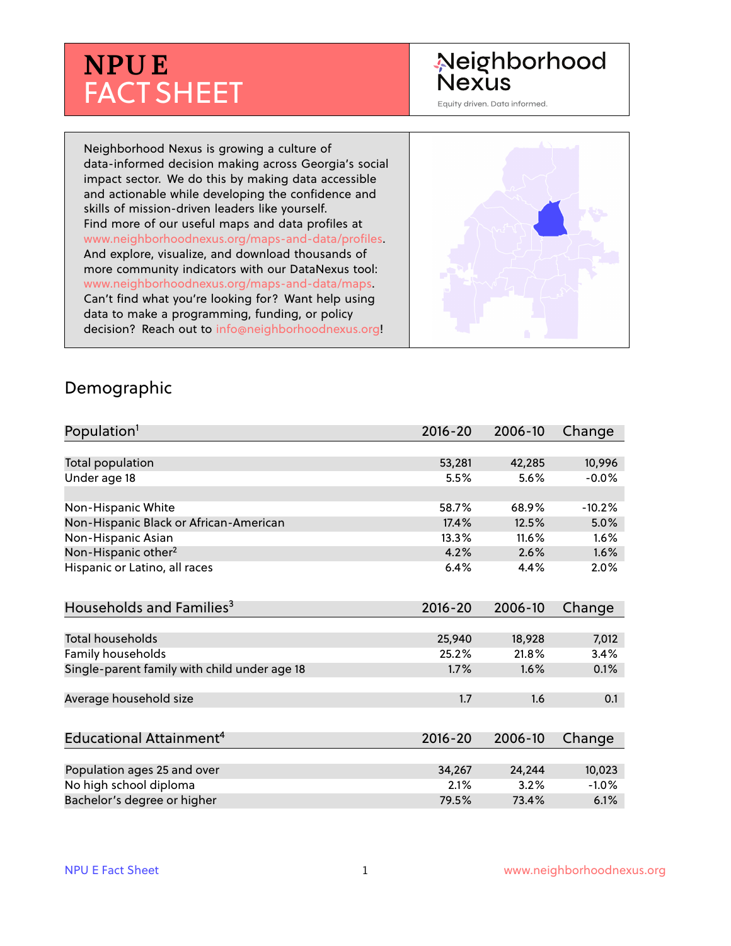# **NPU E** FACT SHEET

## Neighborhood **Nexus**

Equity driven. Data informed.

Neighborhood Nexus is growing a culture of data-informed decision making across Georgia's social impact sector. We do this by making data accessible and actionable while developing the confidence and skills of mission-driven leaders like yourself. Find more of our useful maps and data profiles at www.neighborhoodnexus.org/maps-and-data/profiles. And explore, visualize, and download thousands of more community indicators with our DataNexus tool: www.neighborhoodnexus.org/maps-and-data/maps. Can't find what you're looking for? Want help using data to make a programming, funding, or policy decision? Reach out to [info@neighborhoodnexus.org!](mailto:info@neighborhoodnexus.org)



#### Demographic

| Population <sup>1</sup>                      | $2016 - 20$ | 2006-10 | Change   |
|----------------------------------------------|-------------|---------|----------|
|                                              |             |         |          |
| Total population                             | 53,281      | 42,285  | 10,996   |
| Under age 18                                 | 5.5%        | 5.6%    | $-0.0%$  |
|                                              |             |         |          |
| Non-Hispanic White                           | 58.7%       | 68.9%   | $-10.2%$ |
| Non-Hispanic Black or African-American       | 17.4%       | 12.5%   | 5.0%     |
| Non-Hispanic Asian                           | 13.3%       | 11.6%   | 1.6%     |
| Non-Hispanic other <sup>2</sup>              | 4.2%        | 2.6%    | 1.6%     |
| Hispanic or Latino, all races                | 6.4%        | 4.4%    | 2.0%     |
| Households and Families <sup>3</sup>         | $2016 - 20$ | 2006-10 | Change   |
|                                              |             |         |          |
| <b>Total households</b>                      | 25,940      | 18,928  | 7,012    |
| Family households                            | 25.2%       | 21.8%   | 3.4%     |
| Single-parent family with child under age 18 | 1.7%        | 1.6%    | 0.1%     |
|                                              |             |         |          |
| Average household size                       | 1.7         | 1.6     | 0.1      |
|                                              |             |         |          |
| Educational Attainment <sup>4</sup>          | 2016-20     | 2006-10 | Change   |
|                                              |             |         |          |
| Population ages 25 and over                  | 34,267      | 24,244  | 10,023   |
| No high school diploma                       | 2.1%        | 3.2%    | $-1.0%$  |
| Bachelor's degree or higher                  | 79.5%       | 73.4%   | 6.1%     |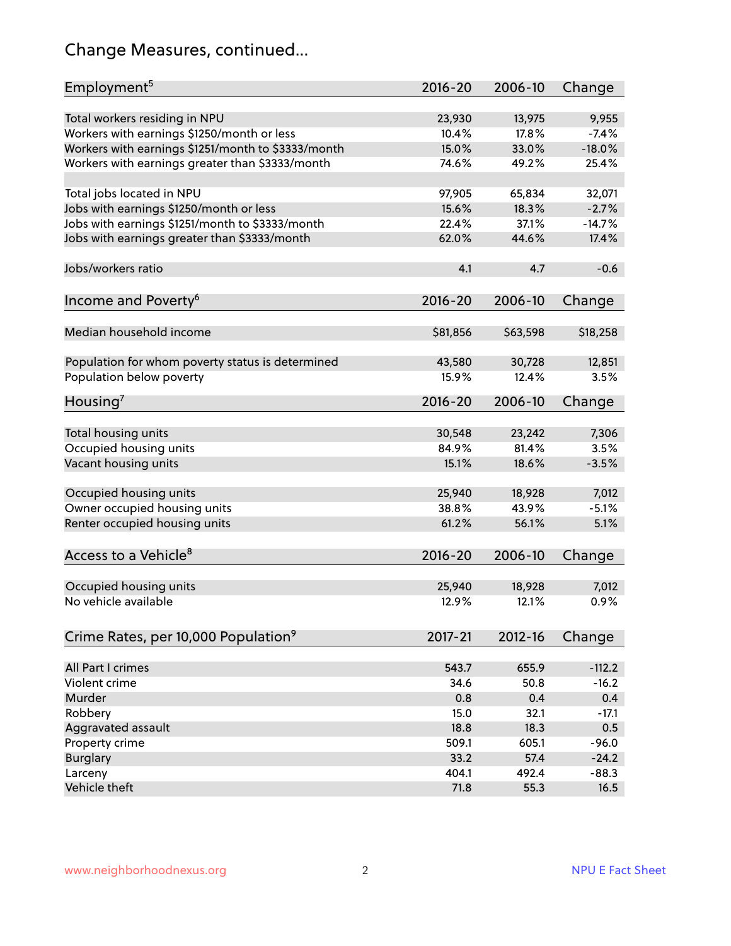## Change Measures, continued...

| Employment <sup>5</sup>                            | 2016-20     | 2006-10  | Change         |
|----------------------------------------------------|-------------|----------|----------------|
|                                                    |             |          |                |
| Total workers residing in NPU                      | 23,930      | 13,975   | 9,955          |
| Workers with earnings \$1250/month or less         | 10.4%       | 17.8%    | $-7.4%$        |
| Workers with earnings \$1251/month to \$3333/month | 15.0%       | 33.0%    | $-18.0%$       |
| Workers with earnings greater than \$3333/month    | 74.6%       | 49.2%    | 25.4%          |
|                                                    |             |          |                |
| Total jobs located in NPU                          | 97,905      | 65,834   | 32,071         |
| Jobs with earnings \$1250/month or less            | 15.6%       | 18.3%    | $-2.7%$        |
| Jobs with earnings \$1251/month to \$3333/month    | 22.4%       | 37.1%    | $-14.7%$       |
| Jobs with earnings greater than \$3333/month       | 62.0%       | 44.6%    | 17.4%          |
|                                                    |             |          |                |
| Jobs/workers ratio                                 | 4.1         | 4.7      | $-0.6$         |
|                                                    |             |          |                |
| Income and Poverty <sup>6</sup>                    | 2016-20     | 2006-10  | Change         |
|                                                    |             |          |                |
| Median household income                            |             |          |                |
|                                                    | \$81,856    | \$63,598 | \$18,258       |
|                                                    | 43,580      | 30,728   |                |
| Population for whom poverty status is determined   |             |          | 12,851<br>3.5% |
| Population below poverty                           | 15.9%       | 12.4%    |                |
| Housing <sup>7</sup>                               | $2016 - 20$ | 2006-10  | Change         |
|                                                    |             |          |                |
| Total housing units                                | 30,548      | 23,242   | 7,306          |
| Occupied housing units                             | 84.9%       | 81.4%    | 3.5%           |
| Vacant housing units                               | 15.1%       | 18.6%    | $-3.5%$        |
|                                                    |             |          |                |
| Occupied housing units                             | 25,940      | 18,928   | 7,012          |
| Owner occupied housing units                       | 38.8%       | 43.9%    | $-5.1%$        |
| Renter occupied housing units                      | 61.2%       | 56.1%    | 5.1%           |
|                                                    |             |          |                |
| Access to a Vehicle <sup>8</sup>                   | $2016 - 20$ | 2006-10  |                |
|                                                    |             |          | Change         |
|                                                    |             |          |                |
| Occupied housing units                             | 25,940      | 18,928   | 7,012          |
| No vehicle available                               | 12.9%       | 12.1%    | 0.9%           |
|                                                    |             |          |                |
| Crime Rates, per 10,000 Population <sup>9</sup>    | $2017 - 21$ | 2012-16  | Change         |
|                                                    |             |          |                |
| All Part I crimes                                  | 543.7       | 655.9    | $-112.2$       |
| Violent crime                                      | 34.6        | 50.8     | $-16.2$        |
| Murder                                             | 0.8         | 0.4      | 0.4            |
| Robbery                                            | 15.0        | 32.1     | $-17.1$        |
| Aggravated assault                                 | 18.8        | 18.3     | 0.5            |
| Property crime                                     | 509.1       | 605.1    | $-96.0$        |
| <b>Burglary</b>                                    | 33.2        | 57.4     | $-24.2$        |
| Larceny                                            | 404.1       | 492.4    | $-88.3$        |
| Vehicle theft                                      | 71.8        | 55.3     | 16.5           |
|                                                    |             |          |                |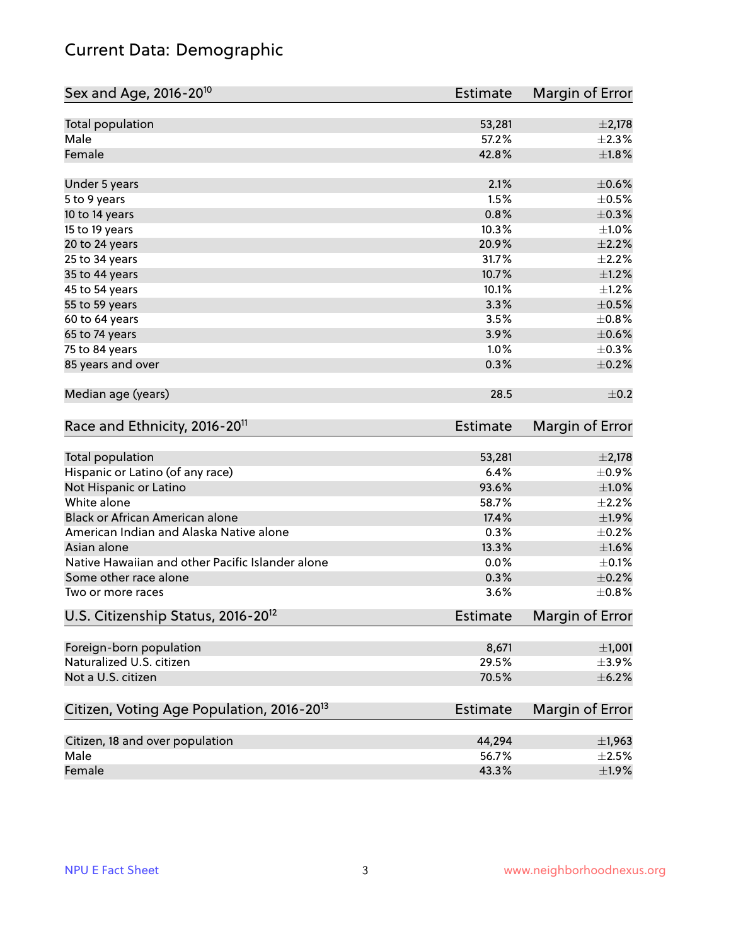## Current Data: Demographic

| Sex and Age, 2016-20 <sup>10</sup>                    | Estimate        | Margin of Error |
|-------------------------------------------------------|-----------------|-----------------|
| Total population                                      | 53,281          | $\pm 2,178$     |
| Male                                                  | 57.2%           | $\pm 2.3\%$     |
| Female                                                | 42.8%           | $\pm1.8\%$      |
| Under 5 years                                         | 2.1%            | $\pm$ 0.6%      |
| 5 to 9 years                                          | 1.5%            | $\pm$ 0.5%      |
| 10 to 14 years                                        | 0.8%            | $\pm$ 0.3%      |
| 15 to 19 years                                        | 10.3%           | $\pm 1.0\%$     |
| 20 to 24 years                                        | 20.9%           | $\pm 2.2\%$     |
| 25 to 34 years                                        | 31.7%           | $\pm 2.2\%$     |
| 35 to 44 years                                        | 10.7%           | $\pm 1.2\%$     |
| 45 to 54 years                                        | 10.1%           | $\pm 1.2\%$     |
| 55 to 59 years                                        | 3.3%            | $\pm$ 0.5%      |
| 60 to 64 years                                        | 3.5%            | $\pm$ 0.8%      |
| 65 to 74 years                                        | 3.9%            | $\pm$ 0.6%      |
| 75 to 84 years                                        | 1.0%            | $\pm$ 0.3%      |
| 85 years and over                                     | 0.3%            | $\pm$ 0.2%      |
| Median age (years)                                    | 28.5            | $\pm$ 0.2       |
| Race and Ethnicity, 2016-20 <sup>11</sup>             | <b>Estimate</b> | Margin of Error |
| Total population                                      | 53,281          | $\pm 2,178$     |
| Hispanic or Latino (of any race)                      | 6.4%            | $\pm$ 0.9%      |
| Not Hispanic or Latino                                | 93.6%           | $\pm 1.0\%$     |
| White alone                                           | 58.7%           | $\pm 2.2\%$     |
| Black or African American alone                       | 17.4%           | $\pm$ 1.9%      |
| American Indian and Alaska Native alone               | 0.3%            | $\pm$ 0.2%      |
| Asian alone                                           | 13.3%           | $\pm1.6\%$      |
| Native Hawaiian and other Pacific Islander alone      | 0.0%            | $\pm$ 0.1%      |
| Some other race alone                                 | 0.3%            | $\pm$ 0.2%      |
| Two or more races                                     | 3.6%            | $\pm$ 0.8%      |
| U.S. Citizenship Status, 2016-20 <sup>12</sup>        | <b>Estimate</b> | Margin of Error |
| Foreign-born population                               | 8,671           | ±1,001          |
| Naturalized U.S. citizen                              | 29.5%           | $\pm$ 3.9%      |
| Not a U.S. citizen                                    | 70.5%           | $\pm$ 6.2%      |
| Citizen, Voting Age Population, 2016-20 <sup>13</sup> | Estimate        | Margin of Error |
| Citizen, 18 and over population                       | 44,294          | $\pm$ 1,963     |
| Male                                                  | 56.7%           | $\pm 2.5\%$     |
| Female                                                | 43.3%           | $\pm$ 1.9%      |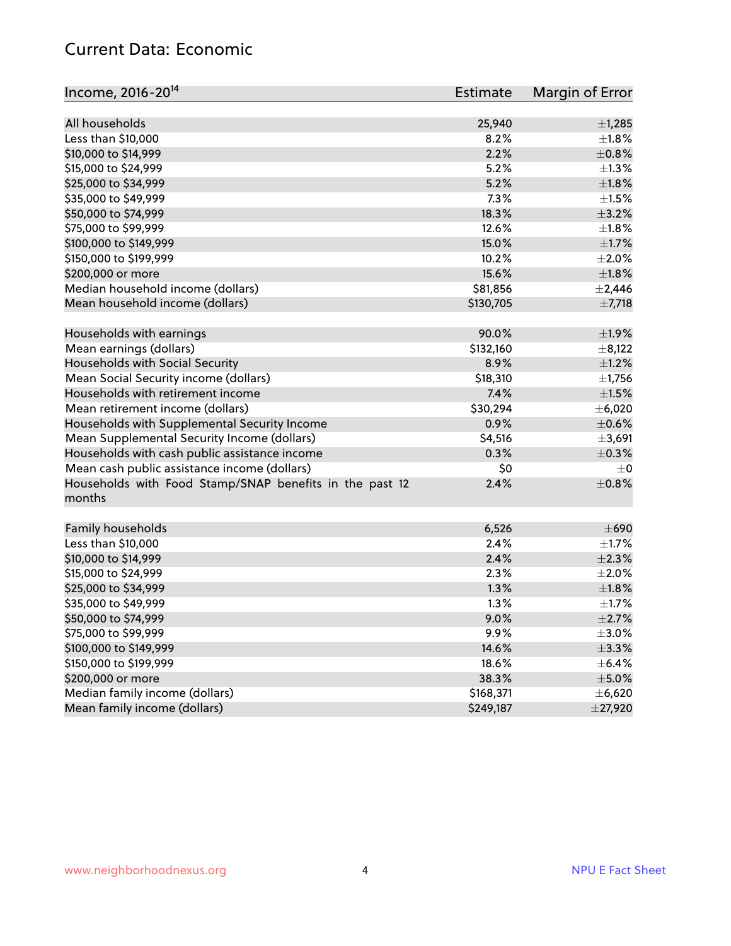#### Current Data: Economic

| Income, 2016-20 <sup>14</sup>                                     | <b>Estimate</b> | Margin of Error |
|-------------------------------------------------------------------|-----------------|-----------------|
| All households                                                    | 25,940          | ±1,285          |
| Less than \$10,000                                                | 8.2%            | $\pm1.8\%$      |
| \$10,000 to \$14,999                                              | 2.2%            | $\pm$ 0.8%      |
| \$15,000 to \$24,999                                              | 5.2%            | $\pm 1.3\%$     |
| \$25,000 to \$34,999                                              | 5.2%            | $\pm 1.8\%$     |
| \$35,000 to \$49,999                                              | 7.3%            | $\pm 1.5\%$     |
| \$50,000 to \$74,999                                              | 18.3%           | $\pm$ 3.2%      |
| \$75,000 to \$99,999                                              | 12.6%           | $\pm1.8\%$      |
|                                                                   | 15.0%           | $\pm 1.7\%$     |
| \$100,000 to \$149,999                                            |                 |                 |
| \$150,000 to \$199,999                                            | 10.2%           | $\pm 2.0\%$     |
| \$200,000 or more                                                 | 15.6%           | $\pm1.8\%$      |
| Median household income (dollars)                                 | \$81,856        | $\pm$ 2,446     |
| Mean household income (dollars)                                   | \$130,705       | $\pm$ 7,718     |
| Households with earnings                                          | 90.0%           | $\pm 1.9\%$     |
| Mean earnings (dollars)                                           | \$132,160       | $\pm$ 8,122     |
| Households with Social Security                                   | 8.9%            | $\pm 1.2\%$     |
| Mean Social Security income (dollars)                             | \$18,310        | $\pm$ 1,756     |
| Households with retirement income                                 | 7.4%            | $\pm 1.5\%$     |
| Mean retirement income (dollars)                                  | \$30,294        | $\pm$ 6,020     |
| Households with Supplemental Security Income                      | 0.9%            | $\pm$ 0.6%      |
| Mean Supplemental Security Income (dollars)                       | \$4,516         | ±3,691          |
| Households with cash public assistance income                     | 0.3%            | $\pm$ 0.3%      |
| Mean cash public assistance income (dollars)                      | \$0             | $\pm 0$         |
| Households with Food Stamp/SNAP benefits in the past 12<br>months | 2.4%            | $\pm$ 0.8%      |
| Family households                                                 | 6,526           | $\pm 690$       |
| Less than \$10,000                                                | 2.4%            | $\pm 1.7\%$     |
| \$10,000 to \$14,999                                              | 2.4%            | $\pm 2.3\%$     |
| \$15,000 to \$24,999                                              | 2.3%            | $\pm 2.0\%$     |
| \$25,000 to \$34,999                                              | 1.3%            | $\pm1.8\%$      |
| \$35,000 to \$49,999                                              | 1.3%            | $\pm1.7\%$      |
| \$50,000 to \$74,999                                              | 9.0%            | $\pm 2.7\%$     |
| \$75,000 to \$99,999                                              | 9.9%            | $\pm$ 3.0%      |
| \$100,000 to \$149,999                                            | 14.6%           | $\pm$ 3.3%      |
| \$150,000 to \$199,999                                            | 18.6%           | $\pm$ 6.4%      |
| \$200,000 or more                                                 | 38.3%           | $\pm$ 5.0%      |
| Median family income (dollars)                                    | \$168,371       | ±6,620          |
| Mean family income (dollars)                                      | \$249,187       | $±$ 27,920      |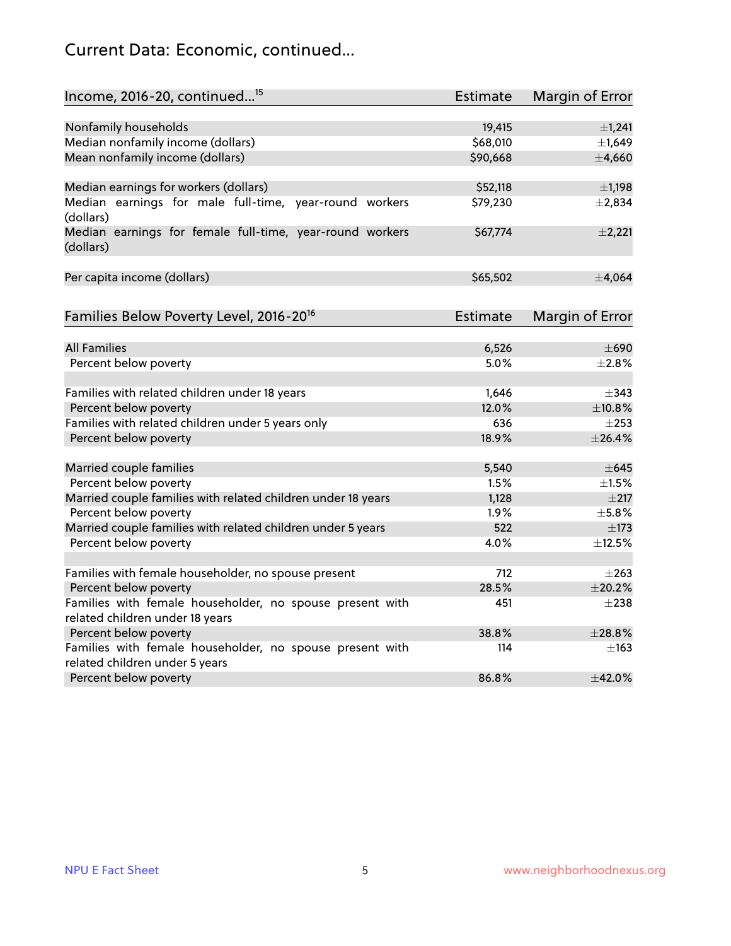## Current Data: Economic, continued...

| Income, 2016-20, continued <sup>15</sup>                              | <b>Estimate</b> | <b>Margin of Error</b> |
|-----------------------------------------------------------------------|-----------------|------------------------|
|                                                                       |                 |                        |
| Nonfamily households                                                  | 19,415          | $\pm$ 1,241            |
| Median nonfamily income (dollars)                                     | \$68,010        | ±1,649                 |
| Mean nonfamily income (dollars)                                       | \$90,668        | ±4,660                 |
| Median earnings for workers (dollars)                                 | \$52,118        | $\pm$ 1,198            |
| Median earnings for male full-time, year-round workers                | \$79,230        | ±2,834                 |
| (dollars)                                                             |                 |                        |
| Median earnings for female full-time, year-round workers<br>(dollars) | \$67,774        | $\pm$ 2,221            |
| Per capita income (dollars)                                           | \$65,502        | ±4,064                 |
|                                                                       |                 |                        |
| Families Below Poverty Level, 2016-20 <sup>16</sup>                   | <b>Estimate</b> | <b>Margin of Error</b> |
|                                                                       |                 |                        |
| <b>All Families</b>                                                   | 6,526           | $\pm 690$              |
| Percent below poverty                                                 | 5.0%            | $\pm 2.8\%$            |
| Families with related children under 18 years                         | 1,646           | $\pm$ 343              |
| Percent below poverty                                                 | 12.0%           | ±10.8%                 |
| Families with related children under 5 years only                     | 636             | $\pm 253$              |
| Percent below poverty                                                 | 18.9%           | ±26.4%                 |
| Married couple families                                               | 5,540           | $\pm$ 645              |
| Percent below poverty                                                 | 1.5%            | $\pm1.5\%$             |
| Married couple families with related children under 18 years          | 1,128           | $\pm 217$              |
| Percent below poverty                                                 | $1.9\%$         | $\pm$ 5.8%             |
| Married couple families with related children under 5 years           | 522             | $\pm$ 173              |
| Percent below poverty                                                 | 4.0%            | ±12.5%                 |
| Families with female householder, no spouse present                   | 712             | $\pm 263$              |
| Percent below poverty                                                 | 28.5%           | ±20.2%                 |
| Families with female householder, no spouse present with              | 451             | $+238$                 |
| related children under 18 years                                       |                 |                        |
| Percent below poverty                                                 | 38.8%           | ±28.8%                 |
| Families with female householder, no spouse present with              | 114             | $\pm$ 163              |
| related children under 5 years                                        |                 |                        |
| Percent below poverty                                                 | 86.8%           | ±42.0%                 |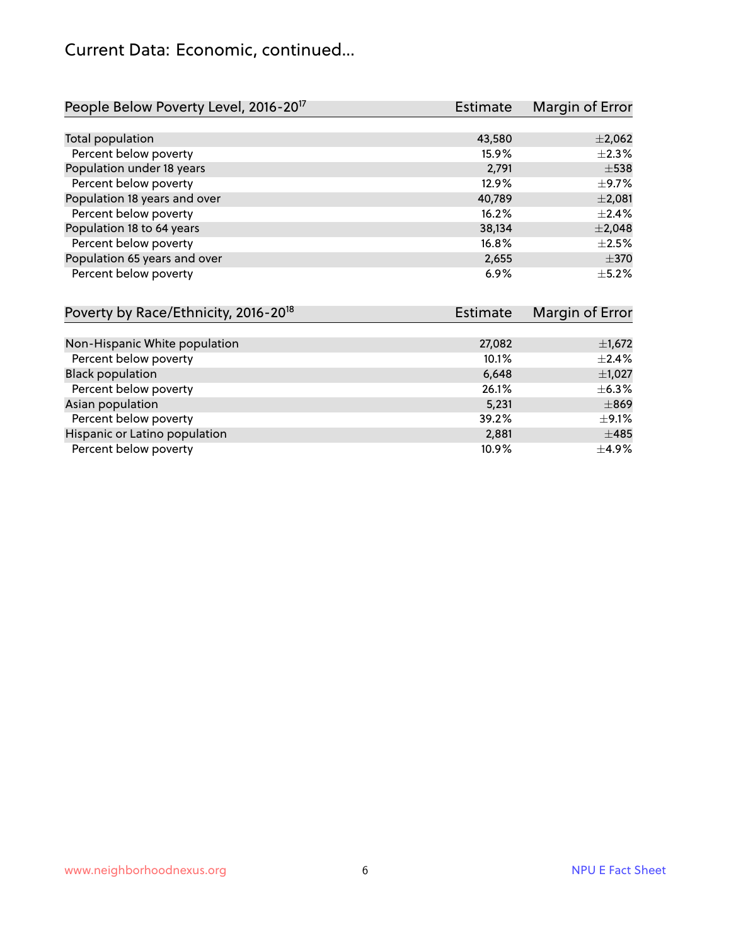#### Current Data: Economic, continued...

| People Below Poverty Level, 2016-20 <sup>17</sup> | <b>Estimate</b> | Margin of Error |
|---------------------------------------------------|-----------------|-----------------|
|                                                   |                 |                 |
| Total population                                  | 43,580          | $\pm 2,062$     |
| Percent below poverty                             | 15.9%           | $\pm 2.3\%$     |
| Population under 18 years                         | 2,791           | $\pm$ 538       |
| Percent below poverty                             | 12.9%           | $\pm$ 9.7%      |
| Population 18 years and over                      | 40,789          | ±2,081          |
| Percent below poverty                             | 16.2%           | ±2.4%           |
| Population 18 to 64 years                         | 38,134          | $\pm 2,048$     |
| Percent below poverty                             | 16.8%           | $\pm 2.5\%$     |
| Population 65 years and over                      | 2,655           | $\pm 370$       |
| Percent below poverty                             | 6.9%            | $\pm$ 5.2%      |

| Poverty by Race/Ethnicity, 2016-20 <sup>18</sup><br><b>Estimate</b> |        | Margin of Error |  |
|---------------------------------------------------------------------|--------|-----------------|--|
|                                                                     |        |                 |  |
| Non-Hispanic White population                                       | 27,082 | $\pm$ 1,672     |  |
| Percent below poverty                                               | 10.1%  | $\pm 2.4\%$     |  |
| <b>Black population</b>                                             | 6,648  | $\pm$ 1,027     |  |
| Percent below poverty                                               | 26.1%  | $\pm$ 6.3%      |  |
| Asian population                                                    | 5,231  | $\pm$ 869       |  |
| Percent below poverty                                               | 39.2%  | $\pm$ 9.1%      |  |
| Hispanic or Latino population                                       | 2,881  | $\pm 485$       |  |
| Percent below poverty                                               | 10.9%  | $\pm$ 4.9%      |  |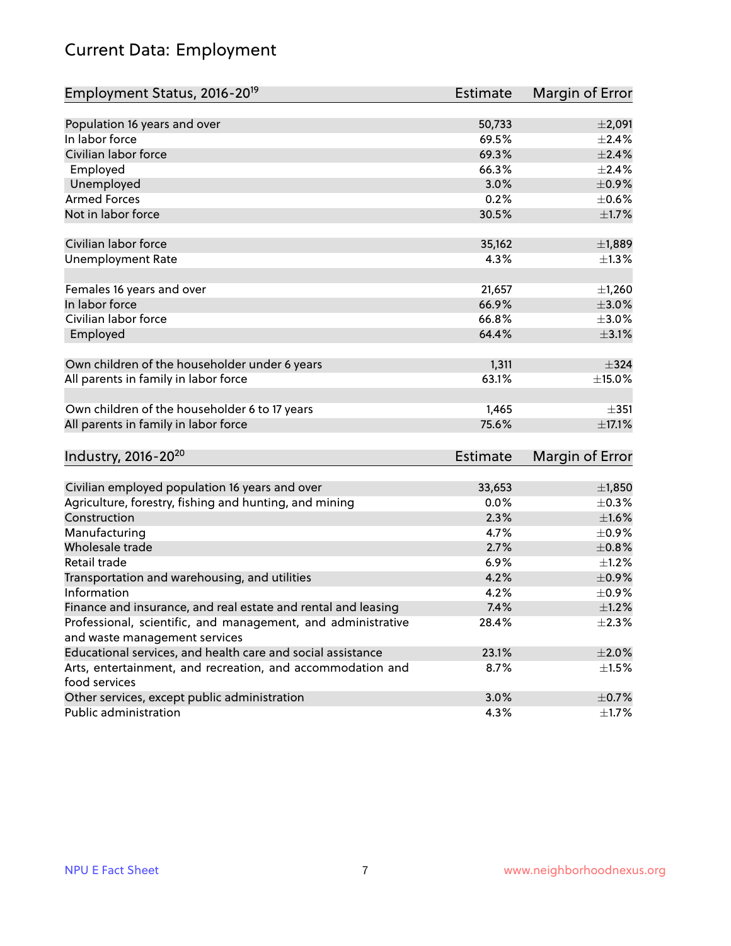## Current Data: Employment

| Employment Status, 2016-20 <sup>19</sup>                      | <b>Estimate</b> | Margin of Error |
|---------------------------------------------------------------|-----------------|-----------------|
|                                                               |                 |                 |
| Population 16 years and over                                  | 50,733          | $\pm 2,091$     |
| In labor force                                                | 69.5%           | ±2.4%           |
| Civilian labor force                                          | 69.3%           | $\pm 2.4\%$     |
| Employed                                                      | 66.3%           | $\pm 2.4\%$     |
| Unemployed                                                    | 3.0%            | $\pm$ 0.9%      |
| <b>Armed Forces</b>                                           | 0.2%            | $\pm$ 0.6%      |
| Not in labor force                                            | 30.5%           | $\pm1.7\%$      |
| Civilian labor force                                          | 35,162          | ±1,889          |
| <b>Unemployment Rate</b>                                      | 4.3%            | $\pm$ 1.3%      |
|                                                               |                 |                 |
| Females 16 years and over                                     | 21,657          | ±1,260          |
| In labor force                                                | 66.9%           | $\pm 3.0\%$     |
| Civilian labor force                                          | 66.8%           | $\pm 3.0\%$     |
| Employed                                                      | 64.4%           | $\pm$ 3.1%      |
|                                                               |                 |                 |
| Own children of the householder under 6 years                 | 1,311           | ±324            |
| All parents in family in labor force                          | 63.1%           | $\pm$ 15.0%     |
| Own children of the householder 6 to 17 years                 | 1,465           | $\pm$ 351       |
| All parents in family in labor force                          | 75.6%           | $\pm$ 17.1%     |
|                                                               |                 |                 |
| Industry, 2016-20 <sup>20</sup>                               | Estimate        | Margin of Error |
| Civilian employed population 16 years and over                | 33,653          | ±1,850          |
| Agriculture, forestry, fishing and hunting, and mining        | 0.0%            | $\pm$ 0.3%      |
| Construction                                                  | 2.3%            | $\pm1.6\%$      |
| Manufacturing                                                 | 4.7%            | $\pm$ 0.9%      |
| Wholesale trade                                               | 2.7%            | $\pm 0.8\%$     |
| Retail trade                                                  | 6.9%            | $\pm 1.2\%$     |
| Transportation and warehousing, and utilities                 | 4.2%            | $\pm$ 0.9%      |
| Information                                                   | 4.2%            | $\pm$ 0.9%      |
| Finance and insurance, and real estate and rental and leasing | 7.4%            | $\pm 1.2\%$     |
| Professional, scientific, and management, and administrative  | 28.4%           | $\pm 2.3\%$     |
| and waste management services                                 |                 |                 |
| Educational services, and health care and social assistance   | 23.1%           | $\pm 2.0\%$     |
| Arts, entertainment, and recreation, and accommodation and    | 8.7%            | $\pm 1.5\%$     |
| food services                                                 |                 |                 |
| Other services, except public administration                  | 3.0%            | $\pm$ 0.7%      |
| Public administration                                         | 4.3%            | $\pm$ 1.7%      |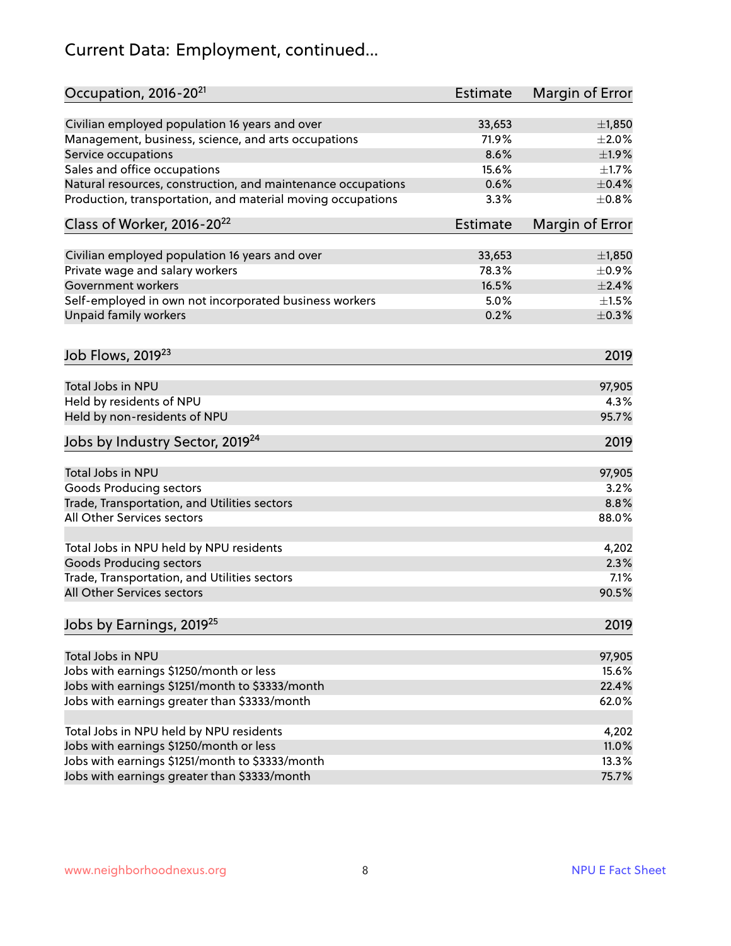## Current Data: Employment, continued...

| Occupation, 2016-20 <sup>21</sup>                            | <b>Estimate</b> | Margin of Error |
|--------------------------------------------------------------|-----------------|-----------------|
| Civilian employed population 16 years and over               | 33,653          | ±1,850          |
| Management, business, science, and arts occupations          | 71.9%           | $\pm 2.0\%$     |
| Service occupations                                          | 8.6%            | ±1.9%           |
| Sales and office occupations                                 | 15.6%           | $\pm 1.7\%$     |
| Natural resources, construction, and maintenance occupations | 0.6%            | $\pm$ 0.4%      |
| Production, transportation, and material moving occupations  | 3.3%            | $\pm$ 0.8%      |
| Class of Worker, 2016-20 <sup>22</sup>                       | <b>Estimate</b> | Margin of Error |
| Civilian employed population 16 years and over               | 33,653          | ±1,850          |
| Private wage and salary workers                              | 78.3%           | $\pm$ 0.9%      |
| <b>Government workers</b>                                    | 16.5%           | $\pm 2.4\%$     |
| Self-employed in own not incorporated business workers       | 5.0%            | $\pm 1.5\%$     |
| Unpaid family workers                                        | 0.2%            | $\pm$ 0.3%      |
| Job Flows, 2019 <sup>23</sup>                                |                 | 2019            |
| Total Jobs in NPU                                            |                 | 97,905          |
| Held by residents of NPU                                     |                 | 4.3%            |
| Held by non-residents of NPU                                 |                 | 95.7%           |
| Jobs by Industry Sector, 2019 <sup>24</sup>                  |                 | 2019            |
| Total Jobs in NPU                                            |                 | 97,905          |
| <b>Goods Producing sectors</b>                               |                 | 3.2%            |
| Trade, Transportation, and Utilities sectors                 |                 | 8.8%            |
| All Other Services sectors                                   |                 | 88.0%           |
| Total Jobs in NPU held by NPU residents                      |                 | 4,202           |
| <b>Goods Producing sectors</b>                               |                 | 2.3%            |
| Trade, Transportation, and Utilities sectors                 |                 | 7.1%            |
| All Other Services sectors                                   |                 | 90.5%           |
| Jobs by Earnings, 2019 <sup>25</sup>                         |                 | 2019            |
| Total Jobs in NPU                                            |                 | 97,905          |
| Jobs with earnings \$1250/month or less                      |                 | 15.6%           |
| Jobs with earnings \$1251/month to \$3333/month              |                 | 22.4%           |
| Jobs with earnings greater than \$3333/month                 |                 | 62.0%           |
|                                                              |                 |                 |
| Total Jobs in NPU held by NPU residents                      |                 | 4,202           |
| Jobs with earnings \$1250/month or less                      |                 | 11.0%           |
| Jobs with earnings \$1251/month to \$3333/month              |                 | 13.3%           |
| Jobs with earnings greater than \$3333/month                 |                 | 75.7%           |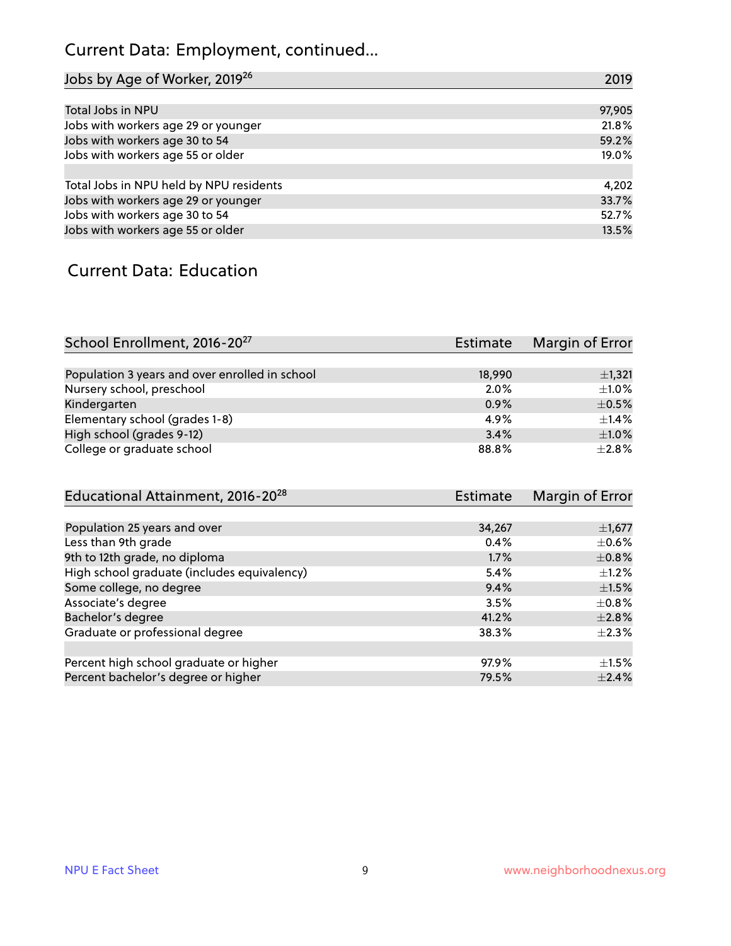## Current Data: Employment, continued...

| Jobs by Age of Worker, 2019 <sup>26</sup> | 2019   |
|-------------------------------------------|--------|
|                                           |        |
| Total Jobs in NPU                         | 97,905 |
| Jobs with workers age 29 or younger       | 21.8%  |
| Jobs with workers age 30 to 54            | 59.2%  |
| Jobs with workers age 55 or older         | 19.0%  |
|                                           |        |
| Total Jobs in NPU held by NPU residents   | 4,202  |
| Jobs with workers age 29 or younger       | 33.7%  |
| Jobs with workers age 30 to 54            | 52.7%  |
| Jobs with workers age 55 or older         | 13.5%  |

#### Current Data: Education

| School Enrollment, 2016-20 <sup>27</sup>       | Estimate | Margin of Error |
|------------------------------------------------|----------|-----------------|
|                                                |          |                 |
| Population 3 years and over enrolled in school | 18,990   | $\pm$ 1,321     |
| Nursery school, preschool                      | 2.0%     | $\pm 1.0\%$     |
| Kindergarten                                   | 0.9%     | $\pm$ 0.5%      |
| Elementary school (grades 1-8)                 | 4.9%     | $\pm$ 1.4%      |
| High school (grades 9-12)                      | 3.4%     | $\pm 1.0\%$     |
| College or graduate school                     | 88.8%    | $\pm 2.8\%$     |

| Educational Attainment, 2016-20 <sup>28</sup> | <b>Estimate</b> | Margin of Error |
|-----------------------------------------------|-----------------|-----------------|
|                                               |                 |                 |
| Population 25 years and over                  | 34,267          | $\pm$ 1,677     |
| Less than 9th grade                           | 0.4%            | $\pm$ 0.6%      |
| 9th to 12th grade, no diploma                 | 1.7%            | $\pm$ 0.8%      |
| High school graduate (includes equivalency)   | 5.4%            | $\pm 1.2\%$     |
| Some college, no degree                       | 9.4%            | $\pm1.5\%$      |
| Associate's degree                            | 3.5%            | $\pm$ 0.8%      |
| Bachelor's degree                             | 41.2%           | $\pm 2.8\%$     |
| Graduate or professional degree               | 38.3%           | $+2.3%$         |
|                                               |                 |                 |
| Percent high school graduate or higher        | 97.9%           | $\pm 1.5\%$     |
| Percent bachelor's degree or higher           | 79.5%           | $\pm 2.4\%$     |
|                                               |                 |                 |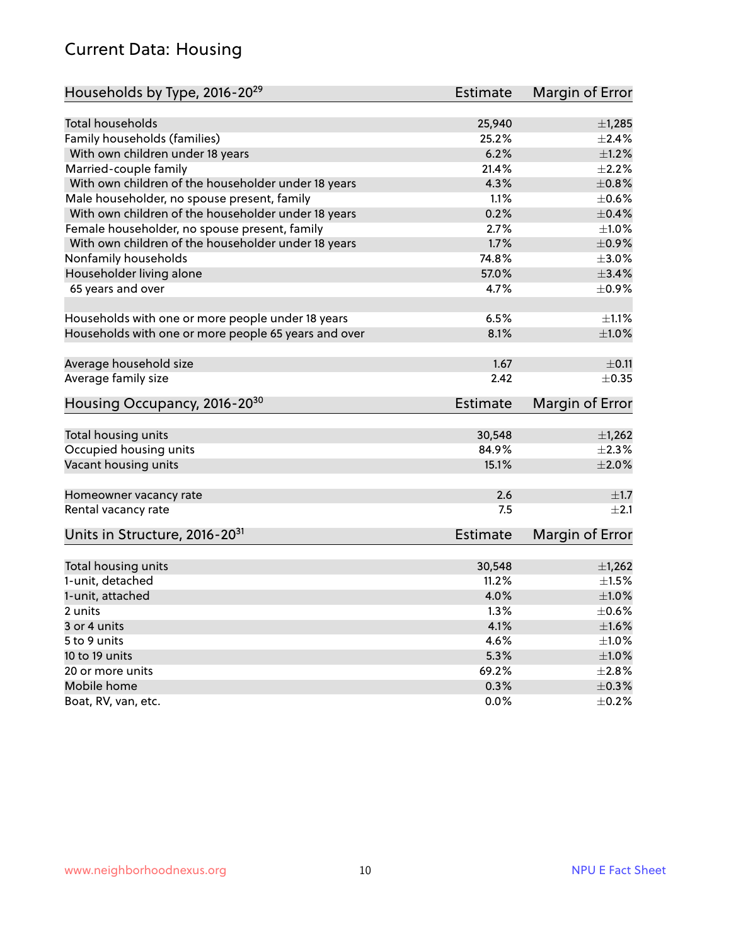#### Current Data: Housing

| Households by Type, 2016-20 <sup>29</sup>            | Estimate        | Margin of Error |
|------------------------------------------------------|-----------------|-----------------|
|                                                      |                 |                 |
| Total households                                     | 25,940          | ±1,285          |
| Family households (families)                         | 25.2%           | $+2.4%$         |
| With own children under 18 years                     | 6.2%            | $\pm 1.2\%$     |
| Married-couple family                                | 21.4%           | $\pm 2.2\%$     |
| With own children of the householder under 18 years  | 4.3%            | $\pm 0.8\%$     |
| Male householder, no spouse present, family          | 1.1%            | $\pm$ 0.6%      |
| With own children of the householder under 18 years  | 0.2%            | $\pm$ 0.4%      |
| Female householder, no spouse present, family        | 2.7%            | $\pm 1.0\%$     |
| With own children of the householder under 18 years  | 1.7%            | $\pm$ 0.9%      |
| Nonfamily households                                 | 74.8%           | $\pm 3.0\%$     |
| Householder living alone                             | 57.0%           | $\pm$ 3.4%      |
| 65 years and over                                    | 4.7%            | $\pm$ 0.9%      |
|                                                      |                 |                 |
| Households with one or more people under 18 years    | 6.5%            | $\pm 1.1\%$     |
| Households with one or more people 65 years and over | 8.1%            | $\pm 1.0\%$     |
|                                                      |                 |                 |
| Average household size                               | 1.67            | $\pm$ 0.11      |
| Average family size                                  | 2.42            | $\pm$ 0.35      |
| Housing Occupancy, 2016-20 <sup>30</sup>             | <b>Estimate</b> | Margin of Error |
| Total housing units                                  | 30,548          | $\pm$ 1,262     |
| Occupied housing units                               | 84.9%           | $\pm 2.3\%$     |
|                                                      | 15.1%           | $\pm 2.0\%$     |
| Vacant housing units                                 |                 |                 |
| Homeowner vacancy rate                               | 2.6             | $\pm 1.7$       |
| Rental vacancy rate                                  | 7.5             | $+2.1$          |
| Units in Structure, 2016-20 <sup>31</sup>            | <b>Estimate</b> | Margin of Error |
|                                                      |                 |                 |
| Total housing units                                  | 30,548          | $\pm$ 1,262     |
| 1-unit, detached                                     | 11.2%           | $\pm 1.5\%$     |
| 1-unit, attached                                     | 4.0%            | $\pm1.0\%$      |
| 2 units                                              | 1.3%            | $\pm$ 0.6%      |
| 3 or 4 units                                         | 4.1%            | $\pm1.6\%$      |
| 5 to 9 units                                         | 4.6%            | $\pm 1.0\%$     |
| 10 to 19 units                                       | 5.3%            | ±1.0%           |
| 20 or more units                                     | 69.2%           | $\pm 2.8\%$     |
| Mobile home                                          | 0.3%            | $\pm$ 0.3%      |
| Boat, RV, van, etc.                                  | 0.0%            | $\pm$ 0.2%      |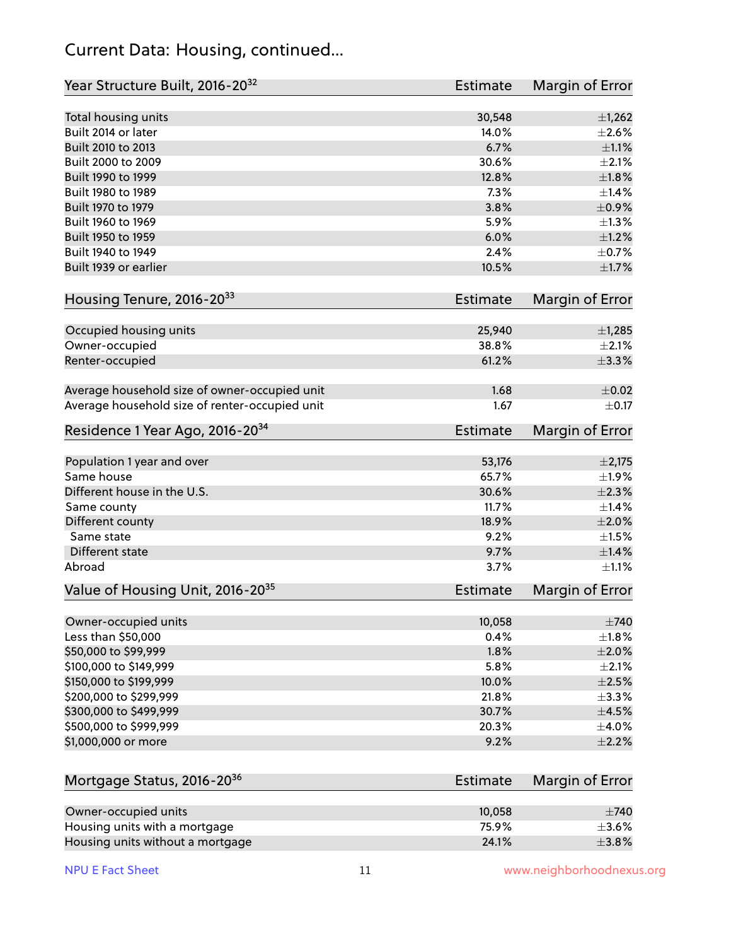#### Current Data: Housing, continued...

| Year Structure Built, 2016-20 <sup>32</sup>    | <b>Estimate</b> | <b>Margin of Error</b>    |
|------------------------------------------------|-----------------|---------------------------|
| Total housing units                            | 30,548          | $\pm$ 1,262               |
| Built 2014 or later                            | 14.0%           | $\pm 2.6\%$               |
| Built 2010 to 2013                             | 6.7%            | $\pm 1.1\%$               |
| Built 2000 to 2009                             | 30.6%           | $\pm 2.1\%$               |
| Built 1990 to 1999                             | 12.8%           | ±1.8%                     |
| Built 1980 to 1989                             | 7.3%            | $\pm$ 1.4%                |
| Built 1970 to 1979                             | 3.8%            | $\pm$ 0.9%                |
| Built 1960 to 1969                             | 5.9%            | ±1.3%                     |
| Built 1950 to 1959                             | 6.0%            | $\pm$ 1.2%                |
| Built 1940 to 1949                             | 2.4%            | ±0.7%                     |
| Built 1939 or earlier                          | 10.5%           | $\pm1.7\%$                |
| Housing Tenure, 2016-2033                      | <b>Estimate</b> | Margin of Error           |
| Occupied housing units                         | 25,940          | ±1,285                    |
| Owner-occupied                                 | 38.8%           | $\pm 2.1\%$               |
| Renter-occupied                                | 61.2%           | ±3.3%                     |
| Average household size of owner-occupied unit  | 1.68            | $\pm$ 0.02                |
| Average household size of renter-occupied unit | 1.67            | $\pm$ 0.17                |
| Residence 1 Year Ago, 2016-20 <sup>34</sup>    | <b>Estimate</b> | <b>Margin of Error</b>    |
|                                                |                 |                           |
| Population 1 year and over<br>Same house       | 53,176          | $\pm 2,175$               |
| Different house in the U.S.                    | 65.7%<br>30.6%  | $\pm$ 1.9%<br>$\pm 2.3\%$ |
|                                                | 11.7%           | $\pm$ 1.4%                |
| Same county<br>Different county                | 18.9%           | $\pm 2.0\%$               |
| Same state                                     | 9.2%            | $\pm1.5\%$                |
| Different state                                | 9.7%            | $\pm$ 1.4%                |
| Abroad                                         | 3.7%            | $\pm 1.1\%$               |
| Value of Housing Unit, 2016-20 <sup>35</sup>   | <b>Estimate</b> | Margin of Error           |
| Owner-occupied units                           | 10,058          | $\pm 740$                 |
| Less than \$50,000                             | 0.4%            | $\pm 1.8\%$               |
| \$50,000 to \$99,999                           | 1.8%            | $\pm 2.0\%$               |
| \$100,000 to \$149,999                         | 5.8%            | $\pm 2.1\%$               |
| \$150,000 to \$199,999                         | 10.0%           | $\pm 2.5\%$               |
| \$200,000 to \$299,999                         | 21.8%           | ±3.3%                     |
| \$300,000 to \$499,999                         | 30.7%           | $\pm$ 4.5%                |
| \$500,000 to \$999,999                         | 20.3%           | $\pm 4.0\%$               |
| \$1,000,000 or more                            | 9.2%            | $\pm 2.2\%$               |
| Mortgage Status, 2016-20 <sup>36</sup>         | <b>Estimate</b> | <b>Margin of Error</b>    |
|                                                |                 |                           |
| Owner-occupied units                           | 10,058          | $\pm 740$                 |
| Housing units with a mortgage                  | 75.9%           | $\pm$ 3.6%                |

Housing units without a mortgage  $\pm 3.8\%$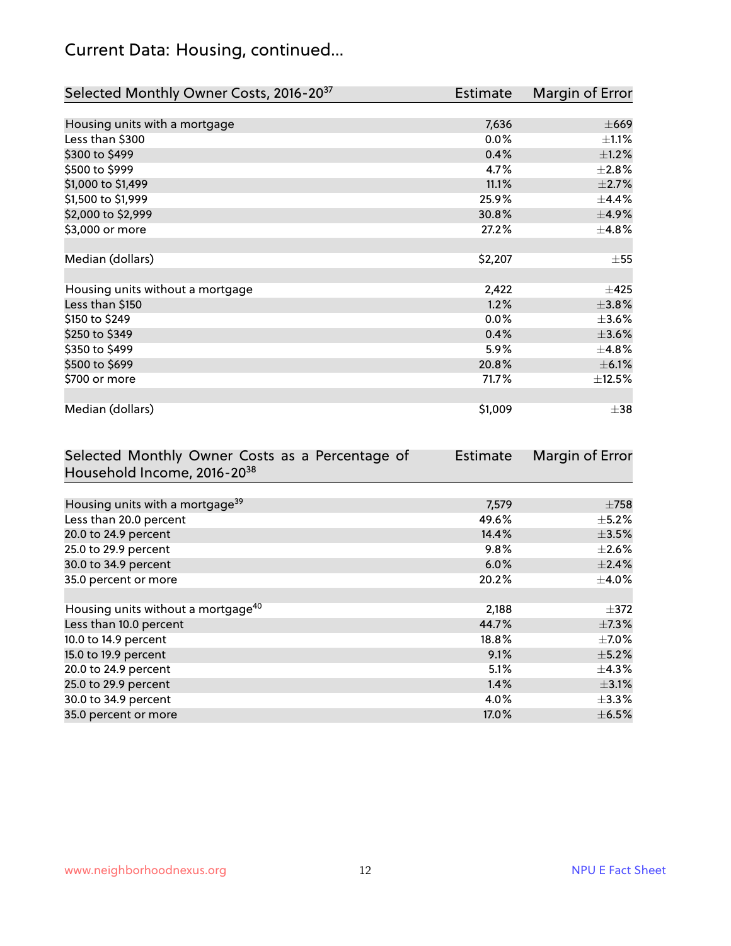## Current Data: Housing, continued...

| Selected Monthly Owner Costs, 2016-20 <sup>37</sup> | <b>Estimate</b> | Margin of Error |
|-----------------------------------------------------|-----------------|-----------------|
|                                                     |                 |                 |
| Housing units with a mortgage                       | 7,636           | $\pm 669$       |
| Less than \$300                                     | 0.0%            | $\pm 1.1\%$     |
| \$300 to \$499                                      | 0.4%            | $\pm$ 1.2%      |
| \$500 to \$999                                      | 4.7%            | $\pm 2.8\%$     |
| \$1,000 to \$1,499                                  | 11.1%           | $\pm 2.7\%$     |
| \$1,500 to \$1,999                                  | 25.9%           | $\pm$ 4.4%      |
| \$2,000 to \$2,999                                  | 30.8%           | ±4.9%           |
| \$3,000 or more                                     | 27.2%           | $\pm$ 4.8%      |
|                                                     |                 |                 |
| Median (dollars)                                    | \$2,207         | $\pm$ 55        |
|                                                     |                 |                 |
| Housing units without a mortgage                    | 2,422           | $\pm 425$       |
| Less than \$150                                     | 1.2%            | ±3.8%           |
| \$150 to \$249                                      | $0.0\%$         | $\pm$ 3.6%      |
| \$250 to \$349                                      | 0.4%            | $\pm 3.6\%$     |
| \$350 to \$499                                      | 5.9%            | $\pm$ 4.8%      |
| \$500 to \$699                                      | 20.8%           | $\pm$ 6.1%      |
| \$700 or more                                       | 71.7%           | $\pm$ 12.5%     |
|                                                     |                 |                 |
| Median (dollars)                                    | \$1,009         | $\pm$ 38        |

| Selected Monthly Owner Costs as a Percentage of | <b>Estimate</b> | Margin of Error |
|-------------------------------------------------|-----------------|-----------------|
| Household Income, 2016-20 <sup>38</sup>         |                 |                 |
|                                                 |                 |                 |
| Housing units with a mortgage <sup>39</sup>     | 7,579           | $\pm 758$       |
| Less than 20.0 percent                          | 49.6%           | $\pm$ 5.2%      |
| 20.0 to 24.9 percent                            | 14.4%           | $\pm 3.5\%$     |
| 25.0 to 29.9 percent                            | 9.8%            | $\pm 2.6\%$     |
| 30.0 to 34.9 percent                            | 6.0%            | $\pm$ 2.4%      |
| 35.0 percent or more                            | 20.2%           | $\pm$ 4.0%      |
|                                                 |                 |                 |
| Housing units without a mortgage <sup>40</sup>  | 2,188           | $\pm$ 372       |
| Less than 10.0 percent                          | 44.7%           | $\pm$ 7.3%      |
| 10.0 to 14.9 percent                            | 18.8%           | $\pm$ 7.0%      |
| 15.0 to 19.9 percent                            | 9.1%            | $\pm$ 5.2%      |
| 20.0 to 24.9 percent                            | 5.1%            | $\pm$ 4.3%      |
| 25.0 to 29.9 percent                            | 1.4%            | $\pm$ 3.1%      |
| 30.0 to 34.9 percent                            | 4.0%            | $\pm$ 3.3%      |
| 35.0 percent or more                            | 17.0%           | $\pm$ 6.5%      |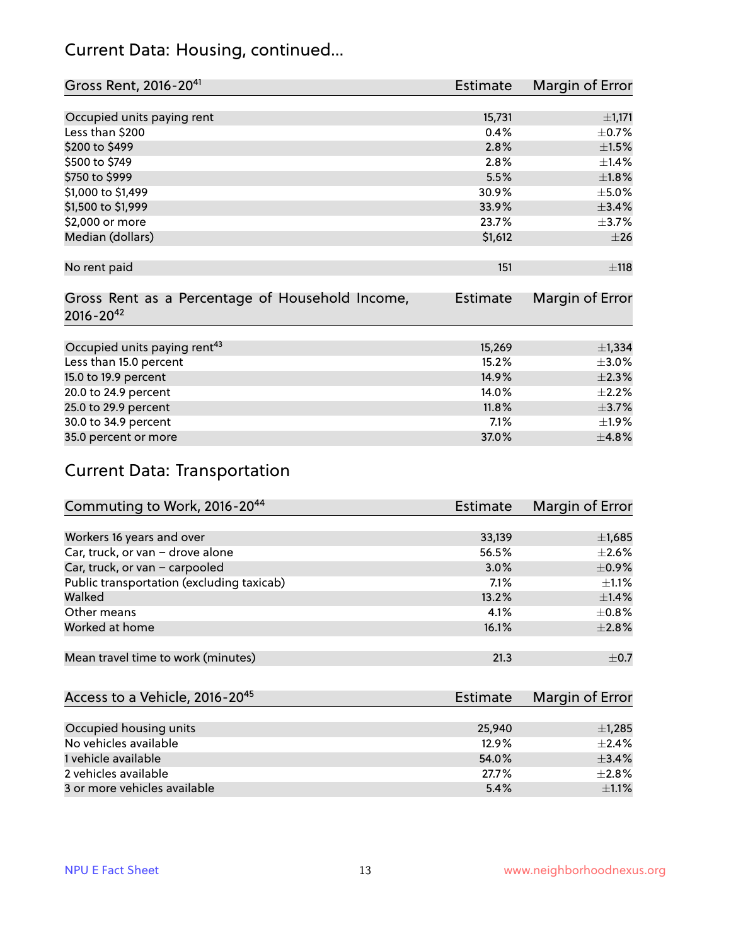#### Current Data: Housing, continued...

| Gross Rent, 2016-20 <sup>41</sup>               | Estimate        | Margin of Error |
|-------------------------------------------------|-----------------|-----------------|
|                                                 |                 |                 |
| Occupied units paying rent                      | 15,731          | ±1,171          |
| Less than \$200                                 | 0.4%            | $\pm$ 0.7%      |
| \$200 to \$499                                  | 2.8%            | $\pm 1.5\%$     |
| \$500 to \$749                                  | 2.8%            | $\pm$ 1.4%      |
| \$750 to \$999                                  | 5.5%            | $\pm1.8\%$      |
| \$1,000 to \$1,499                              | 30.9%           | $\pm$ 5.0%      |
| \$1,500 to \$1,999                              | 33.9%           | ±3.4%           |
| \$2,000 or more                                 | 23.7%           | $\pm$ 3.7%      |
| Median (dollars)                                | \$1,612         | $\pm 26$        |
|                                                 |                 |                 |
| No rent paid                                    | 151             | $\pm$ 118       |
|                                                 |                 |                 |
| Gross Rent as a Percentage of Household Income, | <b>Estimate</b> | Margin of Error |
| $2016 - 20^{42}$                                |                 |                 |
|                                                 |                 |                 |
| Occupied units paying rent <sup>43</sup>        | 15,269          | ±1,334          |
| Less than 15.0 percent                          | 15.2%           | $\pm 3.0\%$     |
| 15.0 to 19.9 percent                            | 14.9%           | $\pm 2.3\%$     |
| 20.0 to 24.9 percent                            | 14.0%           | $\pm 2.2\%$     |
| 25.0 to 29.9 percent                            | 11.8%           | $\pm$ 3.7%      |
| 30.0 to 34.9 percent                            | 7.1%            | ±1.9%           |
| 35.0 percent or more                            | 37.0%           | ±4.8%           |

## Current Data: Transportation

| Commuting to Work, 2016-20 <sup>44</sup>  | Estimate | Margin of Error |
|-------------------------------------------|----------|-----------------|
|                                           |          |                 |
| Workers 16 years and over                 | 33,139   | $\pm$ 1,685     |
| Car, truck, or van - drove alone          | 56.5%    | $\pm 2.6\%$     |
| Car, truck, or van - carpooled            | 3.0%     | $\pm$ 0.9%      |
| Public transportation (excluding taxicab) | 7.1%     | $\pm 1.1\%$     |
| Walked                                    | 13.2%    | $\pm$ 1.4%      |
| Other means                               | 4.1%     | $\pm$ 0.8%      |
| Worked at home                            | 16.1%    | $\pm 2.8\%$     |
|                                           |          |                 |
| Mean travel time to work (minutes)        | 21.3     | $\pm$ 0.7       |

| Access to a Vehicle, 2016-20 <sup>45</sup> | Estimate | Margin of Error |
|--------------------------------------------|----------|-----------------|
|                                            |          |                 |
| Occupied housing units                     | 25,940   | $\pm$ 1,285     |
| No vehicles available                      | 12.9%    | $+2.4%$         |
| 1 vehicle available                        | 54.0%    | $\pm$ 3.4%      |
| 2 vehicles available                       | 27.7%    | $+2.8%$         |
| 3 or more vehicles available               | 5.4%     | $\pm 1.1\%$     |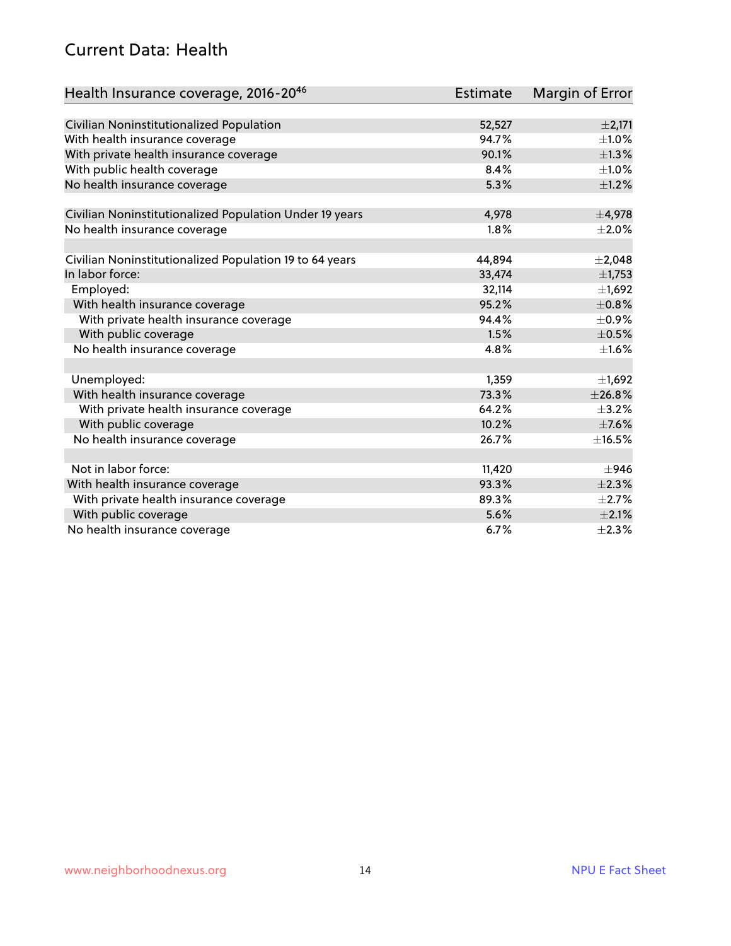#### Current Data: Health

| Health Insurance coverage, 2016-2046                    | <b>Estimate</b> | Margin of Error |
|---------------------------------------------------------|-----------------|-----------------|
|                                                         |                 |                 |
| Civilian Noninstitutionalized Population                | 52,527          | $\pm 2,171$     |
| With health insurance coverage                          | 94.7%           | $\pm 1.0\%$     |
| With private health insurance coverage                  | 90.1%           | $\pm$ 1.3%      |
| With public health coverage                             | 8.4%            | $\pm 1.0\%$     |
| No health insurance coverage                            | 5.3%            | $\pm 1.2\%$     |
|                                                         |                 |                 |
| Civilian Noninstitutionalized Population Under 19 years | 4,978           | $\pm$ 4,978     |
| No health insurance coverage                            | 1.8%            | $\pm 2.0\%$     |
| Civilian Noninstitutionalized Population 19 to 64 years | 44,894          | $\pm 2,048$     |
| In labor force:                                         | 33,474          | $\pm$ 1,753     |
| Employed:                                               | 32,114          | $\pm$ 1,692     |
| With health insurance coverage                          | 95.2%           | ±0.8%           |
| With private health insurance coverage                  | 94.4%           | $\pm$ 0.9%      |
| With public coverage                                    | 1.5%            | $\pm$ 0.5%      |
| No health insurance coverage                            | 4.8%            | $\pm1.6\%$      |
|                                                         |                 |                 |
| Unemployed:                                             | 1,359           | $\pm$ 1,692     |
| With health insurance coverage                          | 73.3%           | ±26.8%          |
| With private health insurance coverage                  | 64.2%           | $\pm$ 3.2%      |
| With public coverage                                    | 10.2%           | $\pm$ 7.6%      |
| No health insurance coverage                            | 26.7%           | ±16.5%          |
|                                                         |                 |                 |
| Not in labor force:                                     | 11,420          | $\pm$ 946       |
| With health insurance coverage                          | 93.3%           | $\pm 2.3\%$     |
| With private health insurance coverage                  | 89.3%           | $\pm 2.7\%$     |
| With public coverage                                    | 5.6%            | $\pm 2.1\%$     |
| No health insurance coverage                            | 6.7%            | $\pm 2.3\%$     |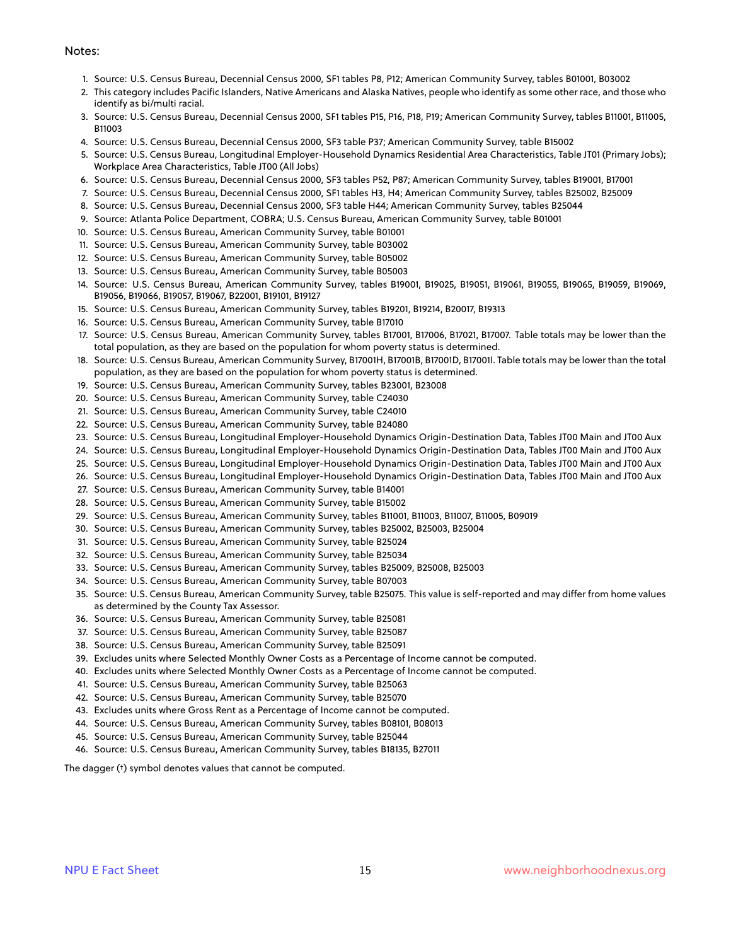#### Notes:

- 1. Source: U.S. Census Bureau, Decennial Census 2000, SF1 tables P8, P12; American Community Survey, tables B01001, B03002
- 2. This category includes Pacific Islanders, Native Americans and Alaska Natives, people who identify as some other race, and those who identify as bi/multi racial.
- 3. Source: U.S. Census Bureau, Decennial Census 2000, SF1 tables P15, P16, P18, P19; American Community Survey, tables B11001, B11005, B11003
- 4. Source: U.S. Census Bureau, Decennial Census 2000, SF3 table P37; American Community Survey, table B15002
- 5. Source: U.S. Census Bureau, Longitudinal Employer-Household Dynamics Residential Area Characteristics, Table JT01 (Primary Jobs); Workplace Area Characteristics, Table JT00 (All Jobs)
- 6. Source: U.S. Census Bureau, Decennial Census 2000, SF3 tables P52, P87; American Community Survey, tables B19001, B17001
- 7. Source: U.S. Census Bureau, Decennial Census 2000, SF1 tables H3, H4; American Community Survey, tables B25002, B25009
- 8. Source: U.S. Census Bureau, Decennial Census 2000, SF3 table H44; American Community Survey, tables B25044
- 9. Source: Atlanta Police Department, COBRA; U.S. Census Bureau, American Community Survey, table B01001
- 10. Source: U.S. Census Bureau, American Community Survey, table B01001
- 11. Source: U.S. Census Bureau, American Community Survey, table B03002
- 12. Source: U.S. Census Bureau, American Community Survey, table B05002
- 13. Source: U.S. Census Bureau, American Community Survey, table B05003
- 14. Source: U.S. Census Bureau, American Community Survey, tables B19001, B19025, B19051, B19061, B19055, B19065, B19059, B19069, B19056, B19066, B19057, B19067, B22001, B19101, B19127
- 15. Source: U.S. Census Bureau, American Community Survey, tables B19201, B19214, B20017, B19313
- 16. Source: U.S. Census Bureau, American Community Survey, table B17010
- 17. Source: U.S. Census Bureau, American Community Survey, tables B17001, B17006, B17021, B17007. Table totals may be lower than the total population, as they are based on the population for whom poverty status is determined.
- 18. Source: U.S. Census Bureau, American Community Survey, B17001H, B17001B, B17001D, B17001I. Table totals may be lower than the total population, as they are based on the population for whom poverty status is determined.
- 19. Source: U.S. Census Bureau, American Community Survey, tables B23001, B23008
- 20. Source: U.S. Census Bureau, American Community Survey, table C24030
- 21. Source: U.S. Census Bureau, American Community Survey, table C24010
- 22. Source: U.S. Census Bureau, American Community Survey, table B24080
- 23. Source: U.S. Census Bureau, Longitudinal Employer-Household Dynamics Origin-Destination Data, Tables JT00 Main and JT00 Aux
- 24. Source: U.S. Census Bureau, Longitudinal Employer-Household Dynamics Origin-Destination Data, Tables JT00 Main and JT00 Aux
- 25. Source: U.S. Census Bureau, Longitudinal Employer-Household Dynamics Origin-Destination Data, Tables JT00 Main and JT00 Aux
- 26. Source: U.S. Census Bureau, Longitudinal Employer-Household Dynamics Origin-Destination Data, Tables JT00 Main and JT00 Aux
- 27. Source: U.S. Census Bureau, American Community Survey, table B14001
- 28. Source: U.S. Census Bureau, American Community Survey, table B15002
- 29. Source: U.S. Census Bureau, American Community Survey, tables B11001, B11003, B11007, B11005, B09019
- 30. Source: U.S. Census Bureau, American Community Survey, tables B25002, B25003, B25004
- 31. Source: U.S. Census Bureau, American Community Survey, table B25024
- 32. Source: U.S. Census Bureau, American Community Survey, table B25034
- 33. Source: U.S. Census Bureau, American Community Survey, tables B25009, B25008, B25003
- 34. Source: U.S. Census Bureau, American Community Survey, table B07003
- 35. Source: U.S. Census Bureau, American Community Survey, table B25075. This value is self-reported and may differ from home values as determined by the County Tax Assessor.
- 36. Source: U.S. Census Bureau, American Community Survey, table B25081
- 37. Source: U.S. Census Bureau, American Community Survey, table B25087
- 38. Source: U.S. Census Bureau, American Community Survey, table B25091
- 39. Excludes units where Selected Monthly Owner Costs as a Percentage of Income cannot be computed.
- 40. Excludes units where Selected Monthly Owner Costs as a Percentage of Income cannot be computed.
- 41. Source: U.S. Census Bureau, American Community Survey, table B25063
- 42. Source: U.S. Census Bureau, American Community Survey, table B25070
- 43. Excludes units where Gross Rent as a Percentage of Income cannot be computed.
- 44. Source: U.S. Census Bureau, American Community Survey, tables B08101, B08013
- 45. Source: U.S. Census Bureau, American Community Survey, table B25044
- 46. Source: U.S. Census Bureau, American Community Survey, tables B18135, B27011

The dagger (†) symbol denotes values that cannot be computed.